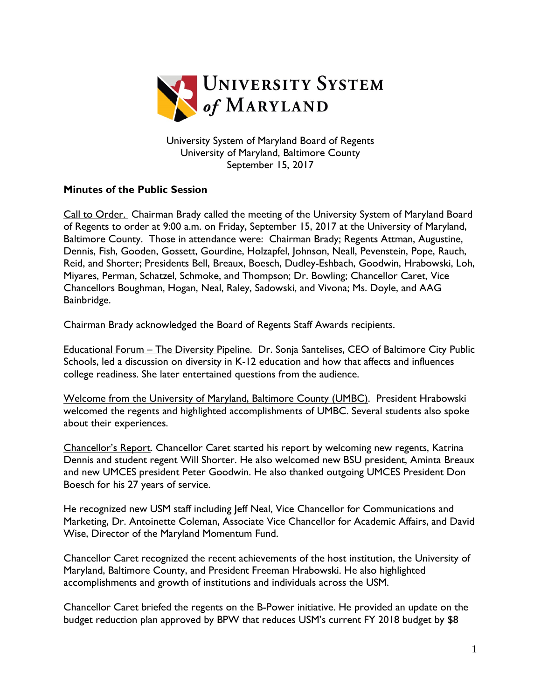

University System of Maryland Board of Regents University of Maryland, Baltimore County September 15, 2017

## **Minutes of the Public Session**

Call to Order. Chairman Brady called the meeting of the University System of Maryland Board of Regents to order at 9:00 a.m. on Friday, September 15, 2017 at the University of Maryland, Baltimore County. Those in attendance were: Chairman Brady; Regents Attman, Augustine, Dennis, Fish, Gooden, Gossett, Gourdine, Holzapfel, Johnson, Neall, Pevenstein, Pope, Rauch, Reid, and Shorter; Presidents Bell, Breaux, Boesch, Dudley-Eshbach, Goodwin, Hrabowski, Loh, Miyares, Perman, Schatzel, Schmoke, and Thompson; Dr. Bowling; Chancellor Caret, Vice Chancellors Boughman, Hogan, Neal, Raley, Sadowski, and Vivona; Ms. Doyle, and AAG Bainbridge.

Chairman Brady acknowledged the Board of Regents Staff Awards recipients.

Educational Forum – The Diversity Pipeline. Dr. Sonja Santelises, CEO of Baltimore City Public Schools, led a discussion on diversity in K-12 education and how that affects and influences college readiness. She later entertained questions from the audience.

Welcome from the University of Maryland, Baltimore County (UMBC). President Hrabowski welcomed the regents and highlighted accomplishments of UMBC. Several students also spoke about their experiences.

Chancellor's Report. Chancellor Caret started his report by welcoming new regents, Katrina Dennis and student regent Will Shorter. He also welcomed new BSU president, Aminta Breaux and new UMCES president Peter Goodwin. He also thanked outgoing UMCES President Don Boesch for his 27 years of service.

He recognized new USM staff including Jeff Neal, Vice Chancellor for Communications and Marketing, Dr. Antoinette Coleman, Associate Vice Chancellor for Academic Affairs, and David Wise, Director of the Maryland Momentum Fund.

Chancellor Caret recognized the recent achievements of the host institution, the University of Maryland, Baltimore County, and President Freeman Hrabowski. He also highlighted accomplishments and growth of institutions and individuals across the USM.

Chancellor Caret briefed the regents on the B-Power initiative. He provided an update on the budget reduction plan approved by BPW that reduces USM's current FY 2018 budget by \$8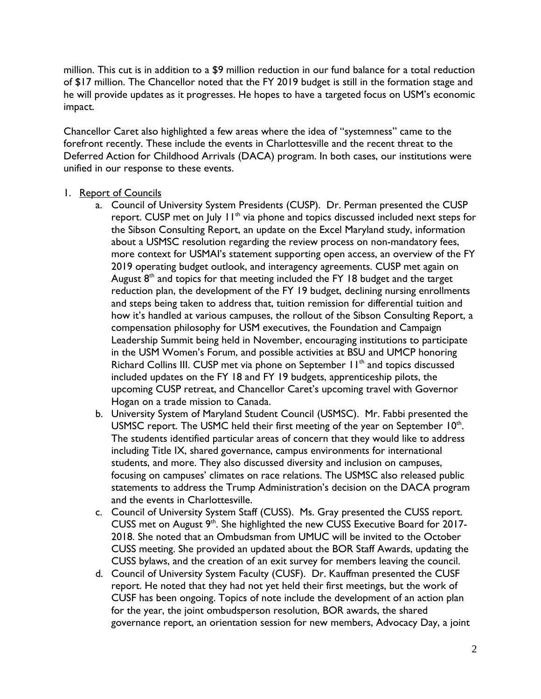million. This cut is in addition to a \$9 million reduction in our fund balance for a total reduction of \$17 million. The Chancellor noted that the FY 2019 budget is still in the formation stage and he will provide updates as it progresses. He hopes to have a targeted focus on USM's economic impact.

Chancellor Caret also highlighted a few areas where the idea of "systemness" came to the forefront recently. These include the events in Charlottesville and the recent threat to the Deferred Action for Childhood Arrivals (DACA) program. In both cases, our institutions were unified in our response to these events.

## 1. Report of Councils

- a. Council of University System Presidents (CUSP). Dr. Perman presented the CUSP report. CUSP met on July  $H^{\text{th}}$  via phone and topics discussed included next steps for the Sibson Consulting Report, an update on the Excel Maryland study, information about a USMSC resolution regarding the review process on non-mandatory fees, more context for USMAI's statement supporting open access, an overview of the FY 2019 operating budget outlook, and interagency agreements. CUSP met again on August  $8<sup>th</sup>$  and topics for that meeting included the FY 18 budget and the target reduction plan, the development of the FY 19 budget, declining nursing enrollments and steps being taken to address that, tuition remission for differential tuition and how it's handled at various campuses, the rollout of the Sibson Consulting Report, a compensation philosophy for USM executives, the Foundation and Campaign Leadership Summit being held in November, encouraging institutions to participate in the USM Women's Forum, and possible activities at BSU and UMCP honoring Richard Collins III. CUSP met via phone on September 11<sup>th</sup> and topics discussed included updates on the FY 18 and FY 19 budgets, apprenticeship pilots, the upcoming CUSP retreat, and Chancellor Caret's upcoming travel with Governor Hogan on a trade mission to Canada.
- b. University System of Maryland Student Council (USMSC). Mr. Fabbi presented the USMSC report. The USMC held their first meeting of the year on September  $10<sup>th</sup>$ . The students identified particular areas of concern that they would like to address including Title IX, shared governance, campus environments for international students, and more. They also discussed diversity and inclusion on campuses, focusing on campuses' climates on race relations. The USMSC also released public statements to address the Trump Administration's decision on the DACA program and the events in Charlottesville.
- c. Council of University System Staff (CUSS). Ms. Gray presented the CUSS report. CUSS met on August 9<sup>th</sup>. She highlighted the new CUSS Executive Board for 2017-2018. She noted that an Ombudsman from UMUC will be invited to the October CUSS meeting. She provided an updated about the BOR Staff Awards, updating the CUSS bylaws, and the creation of an exit survey for members leaving the council.
- d. Council of University System Faculty (CUSF). Dr. Kauffman presented the CUSF report. He noted that they had not yet held their first meetings, but the work of CUSF has been ongoing. Topics of note include the development of an action plan for the year, the joint ombudsperson resolution, BOR awards, the shared governance report, an orientation session for new members, Advocacy Day, a joint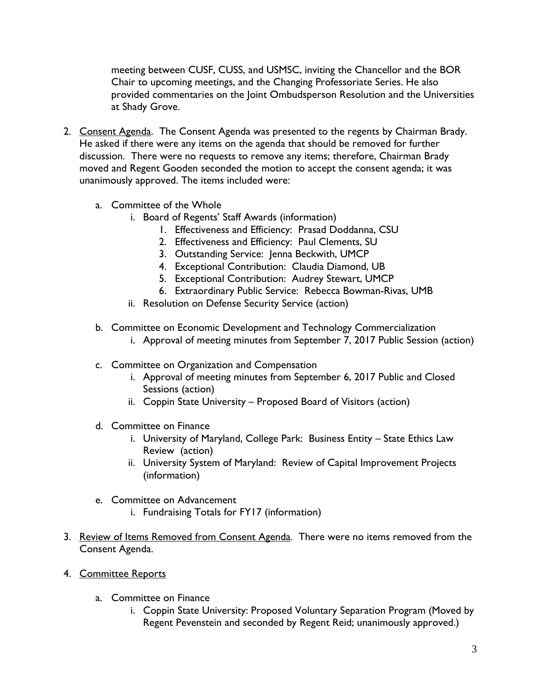meeting between CUSF, CUSS, and USMSC, inviting the Chancellor and the BOR Chair to upcoming meetings, and the Changing Professoriate Series. He also provided commentaries on the Joint Ombudsperson Resolution and the Universities at Shady Grove.

- 2. Consent Agenda. The Consent Agenda was presented to the regents by Chairman Brady. He asked if there were any items on the agenda that should be removed for further discussion. There were no requests to remove any items; therefore, Chairman Brady moved and Regent Gooden seconded the motion to accept the consent agenda; it was unanimously approved. The items included were:
	- a. Committee of the Whole
		- i. Board of Regents' Staff Awards (information)
			- 1. Effectiveness and Efficiency: Prasad Doddanna, CSU
			- 2. Effectiveness and Efficiency: Paul Clements, SU
			- 3. Outstanding Service: Jenna Beckwith, UMCP
			- 4. Exceptional Contribution: Claudia Diamond, UB
			- 5. Exceptional Contribution: Audrey Stewart, UMCP
			- 6. Extraordinary Public Service: Rebecca Bowman-Rivas, UMB
		- ii. Resolution on Defense Security Service (action)
	- b. Committee on Economic Development and Technology Commercialization
		- i. Approval of meeting minutes from September 7, 2017 Public Session (action)
	- c. Committee on Organization and Compensation
		- i. Approval of meeting minutes from September 6, 2017 Public and Closed Sessions (action)
		- ii. Coppin State University Proposed Board of Visitors (action)
	- d. Committee on Finance
		- i. University of Maryland, College Park: Business Entity State Ethics Law Review (action)
		- ii. University System of Maryland: Review of Capital Improvement Projects (information)
	- e. Committee on Advancement
		- i. Fundraising Totals for FY17 (information)
- 3. Review of Items Removed from Consent Agenda. There were no items removed from the Consent Agenda.
- 4. Committee Reports
	- a. Committee on Finance
		- i. Coppin State University: Proposed Voluntary Separation Program (Moved by Regent Pevenstein and seconded by Regent Reid; unanimously approved.)